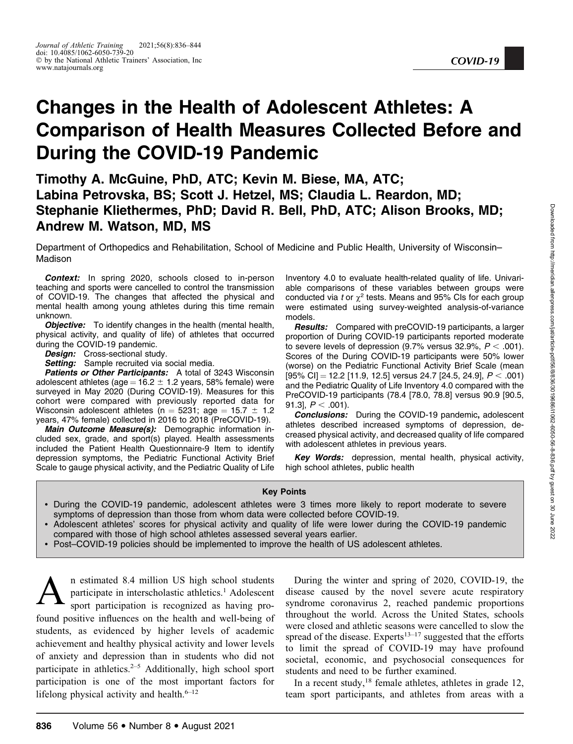# Changes in the Health of Adolescent Athletes: A Comparison of Health Measures Collected Before and During the COVID-19 Pandemic

Timothy A. McGuine, PhD, ATC; Kevin M. Biese, MA, ATC; Labina Petrovska, BS; Scott J. Hetzel, MS; Claudia L. Reardon, MD; Stephanie Kliethermes, PhD; David R. Bell, PhD, ATC; Alison Brooks, MD; Andrew M. Watson, MD, MS

Department of Orthopedics and Rehabilitation, School of Medicine and Public Health, University of Wisconsin– Madison

Context: In spring 2020, schools closed to in-person teaching and sports were cancelled to control the transmission of COVID-19. The changes that affected the physical and mental health among young athletes during this time remain unknown.

**Objective:** To identify changes in the health (mental health, physical activity, and quality of life) of athletes that occurred during the COVID-19 pandemic.

Design: Cross-sectional study.

Setting: Sample recruited via social media.

Patients or Other Participants: A total of 3243 Wisconsin adolescent athletes (age =  $16.2 \pm 1.2$  years, 58% female) were surveyed in May 2020 (During COVID-19). Measures for this cohort were compared with previously reported data for Wisconsin adolescent athletes (n  $=$  5231; age  $=$  15.7  $\pm$  1.2  $\,$ years, 47% female) collected in 2016 to 2018 (PreCOVID-19).

Main Outcome Measure(s): Demographic information included sex, grade, and sport(s) played. Health assessments included the Patient Health Questionnaire-9 Item to identify depression symptoms, the Pediatric Functional Activity Brief Scale to gauge physical activity, and the Pediatric Quality of Life Inventory 4.0 to evaluate health-related quality of life. Univariable comparisons of these variables between groups were conducted via t or  $\chi^2$  tests. Means and 95% CIs for each group were estimated using survey-weighted analysis-of-variance models.

**Results:** Compared with preCOVID-19 participants, a larger proportion of During COVID-19 participants reported moderate to severe levels of depression (9.7% versus 32.9%,  $P < .001$ ). Scores of the During COVID-19 participants were 50% lower (worse) on the Pediatric Functional Activity Brief Scale (mean  $[95\% \text{ Cl}] = 12.2 [11.9, 12.5]$  versus 24.7  $[24.5, 24.9]$ ,  $P < .001$ ) and the Pediatric Quality of Life Inventory 4.0 compared with the PreCOVID-19 participants (78.4 [78.0, 78.8] versus 90.9 [90.5, 91.3],  $P < .001$ ).

Conclusions: During the COVID-19 pandemic, adolescent athletes described increased symptoms of depression, decreased physical activity, and decreased quality of life compared with adolescent athletes in previous years.

Key Words: depression, mental health, physical activity, high school athletes, public health

#### Key Points

- During the COVID-19 pandemic, adolescent athletes were 3 times more likely to report moderate to severe symptoms of depression than those from whom data were collected before COVID-19.
- Adolescent athletes' scores for physical activity and quality of life were lower during the COVID-19 pandemic compared with those of high school athletes assessed several years earlier.
- Post–COVID-19 policies should be implemented to improve the health of US adolescent athletes.

An estimated 8.4 million US high school students<br>participate in interscholastic athletics.<sup>1</sup> Adolescent<br>sport participation is recognized as having proparticipate in interscholastic athletics.<sup>1</sup> Adolescent found positive influences on the health and well-being of students, as evidenced by higher levels of academic achievement and healthy physical activity and lower levels of anxiety and depression than in students who did not participate in athletics.<sup> $2-5$ </sup> Additionally, high school sport participation is one of the most important factors for lifelong physical activity and health. $6-12$ 

During the winter and spring of 2020, COVID-19, the disease caused by the novel severe acute respiratory syndrome coronavirus 2, reached pandemic proportions throughout the world. Across the United States, schools were closed and athletic seasons were cancelled to slow the spread of the disease. Experts<sup>13–17</sup> suggested that the efforts to limit the spread of COVID-19 may have profound societal, economic, and psychosocial consequences for students and need to be further examined.

In a recent study, $18$  female athletes, athletes in grade 12, team sport participants, and athletes from areas with a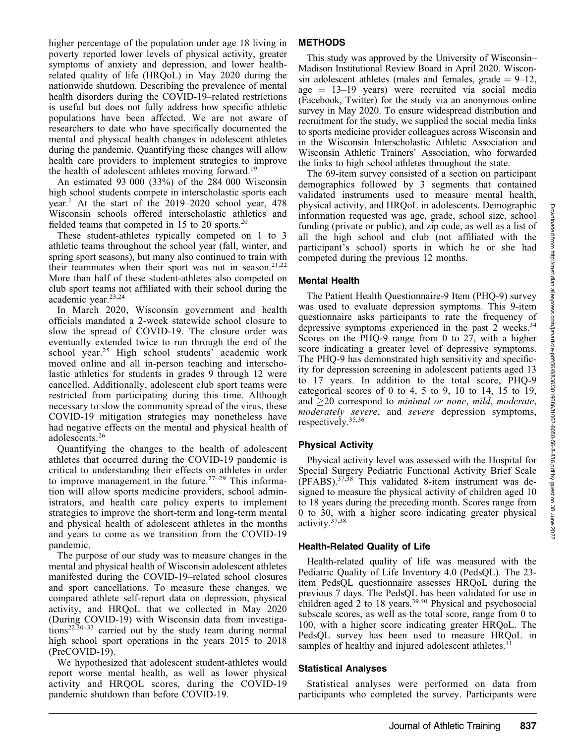higher percentage of the population under age 18 living in poverty reported lower levels of physical activity, greater symptoms of anxiety and depression, and lower healthrelated quality of life (HRQoL) in May 2020 during the nationwide shutdown. Describing the prevalence of mental health disorders during the COVID-19–related restrictions is useful but does not fully address how specific athletic populations have been affected. We are not aware of researchers to date who have specifically documented the mental and physical health changes in adolescent athletes during the pandemic. Quantifying these changes will allow health care providers to implement strategies to improve the health of adolescent athletes moving forward.<sup>19</sup>

An estimated 93 000 (33%) of the 284 000 Wisconsin high school students compete in interscholastic sports each year.<sup>1</sup> At the start of the  $2019-2020$  school year, 478 Wisconsin schools offered interscholastic athletics and fielded teams that competed in 15 to 20 sports.<sup>20</sup>

These student-athletes typically competed on 1 to 3 athletic teams throughout the school year (fall, winter, and spring sport seasons), but many also continued to train with their teammates when their sport was not in season.<sup>21,22</sup> More than half of these student-athletes also competed on club sport teams not affiliated with their school during the academic year.23,24

In March 2020, Wisconsin government and health officials mandated a 2-week statewide school closure to slow the spread of COVID-19. The closure order was eventually extended twice to run through the end of the school year.<sup>25</sup> High school students' academic work moved online and all in-person teaching and interscholastic athletics for students in grades 9 through 12 were cancelled. Additionally, adolescent club sport teams were restricted from participating during this time. Although necessary to slow the community spread of the virus, these COVID-19 mitigation strategies may nonetheless have had negative effects on the mental and physical health of adolescents.<sup>26</sup>

Quantifying the changes to the health of adolescent athletes that occurred during the COVID-19 pandemic is critical to understanding their effects on athletes in order to improve management in the future.<sup>27–29</sup> This information will allow sports medicine providers, school administrators, and health care policy experts to implement strategies to improve the short-term and long-term mental and physical health of adolescent athletes in the months and years to come as we transition from the COVID-19 pandemic.

The purpose of our study was to measure changes in the mental and physical health of Wisconsin adolescent athletes manifested during the COVID-19–related school closures and sport cancellations. To measure these changes, we compared athlete self-report data on depression, physical activity, and HRQoL that we collected in May 2020 (During COVID-19) with Wisconsin data from investiga $tions^{22,30-33}$  carried out by the study team during normal high school sport operations in the years 2015 to 2018 (PreCOVID-19).

We hypothesized that adolescent student-athletes would report worse mental health, as well as lower physical activity and HRQOL scores, during the COVID-19 pandemic shutdown than before COVID-19.

# METHODS

This study was approved by the University of Wisconsin– Madison Institutional Review Board in April 2020. Wisconsin adolescent athletes (males and females, grade  $= 9-12$ ,  $age = 13-19$  years) were recruited via social media (Facebook, Twitter) for the study via an anonymous online survey in May 2020. To ensure widespread distribution and recruitment for the study, we supplied the social media links to sports medicine provider colleagues across Wisconsin and in the Wisconsin Interscholastic Athletic Association and Wisconsin Athletic Trainers' Association, who forwarded the links to high school athletes throughout the state.

The 69-item survey consisted of a section on participant demographics followed by 3 segments that contained validated instruments used to measure mental health, physical activity, and HRQoL in adolescents. Demographic information requested was age, grade, school size, school funding (private or public), and zip code, as well as a list of all the high school and club (not affiliated with the participant's school) sports in which he or she had competed during the previous 12 months.

## Mental Health

The Patient Health Questionnaire-9 Item (PHQ-9) survey was used to evaluate depression symptoms. This 9-item questionnaire asks participants to rate the frequency of depressive symptoms experienced in the past 2 weeks. $34$ Scores on the PHQ-9 range from 0 to 27, with a higher score indicating a greater level of depressive symptoms. The PHQ-9 has demonstrated high sensitivity and specificity for depression screening in adolescent patients aged 13 to 17 years. In addition to the total score, PHQ-9 categorical scores of 0 to 4, 5 to 9, 10 to 14, 15 to 19, and  $>$ 20 correspond to *minimal or none*, *mild*, *moderate*, moderately severe, and severe depression symptoms, respectively.35,36

## Physical Activity

Physical activity level was assessed with the Hospital for Special Surgery Pediatric Functional Activity Brief Scale (PFABS).37,38 This validated 8-item instrument was designed to measure the physical activity of children aged 10 to 18 years during the preceding month. Scores range from 0 to 30, with a higher score indicating greater physical activity.37,38

## Health-Related Quality of Life

Health-related quality of life was measured with the Pediatric Quality of Life Inventory 4.0 (PedsQL). The 23 item PedsQL questionnaire assesses HRQoL during the previous 7 days. The PedsQL has been validated for use in children aged 2 to 18 years.<sup>39,40</sup> Physical and psychosocial subscale scores, as well as the total score, range from 0 to 100, with a higher score indicating greater HRQoL. The PedsQL survey has been used to measure HRQoL in samples of healthy and injured adolescent athletes.<sup>41</sup>

## Statistical Analyses

Statistical analyses were performed on data from participants who completed the survey. Participants were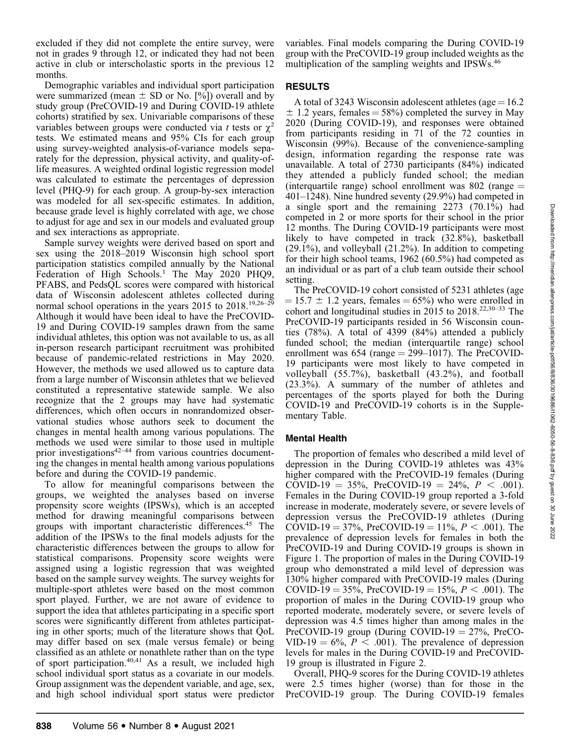excluded if they did not complete the entire survey, were not in grades 9 through 12, or indicated they had not been active in club or interscholastic sports in the previous 12 months.

Demographic variables and individual sport participation were summarized (mean  $\pm$  SD or No. [%]) overall and by study group (PreCOVID-19 and During COVID-19 athlete cohorts) stratified by sex. Univariable comparisons of these variables between groups were conducted via t tests or  $\chi^2$ tests. We estimated means and 95% CIs for each group using survey-weighted analysis-of-variance models separately for the depression, physical activity, and quality-oflife measures. A weighted ordinal logistic regression model was calculated to estimate the percentages of depression level (PHQ-9) for each group. A group-by-sex interaction was modeled for all sex-specific estimates. In addition, because grade level is highly correlated with age, we chose to adjust for age and sex in our models and evaluated group and sex interactions as appropriate.

Sample survey weights were derived based on sport and sex using the 2018–2019 Wisconsin high school sport participation statistics compiled annually by the National Federation of High Schools.<sup>1</sup> The May 2020 PHQ9, PFABS, and PedsQL scores were compared with historical data of Wisconsin adolescent athletes collected during normal school operations in the years 2015 to 2018.<sup>19,26–29</sup> Although it would have been ideal to have the PreCOVID-19 and During COVID-19 samples drawn from the same individual athletes, this option was not available to us, as all in-person research participant recruitment was prohibited because of pandemic-related restrictions in May 2020. However, the methods we used allowed us to capture data from a large number of Wisconsin athletes that we believed constituted a representative statewide sample. We also recognize that the 2 groups may have had systematic differences, which often occurs in nonrandomized observational studies whose authors seek to document the changes in mental health among various populations. The methods we used were similar to those used in multiple prior investigations<sup>42–44</sup> from various countries documenting the changes in mental health among various populations before and during the COVID-19 pandemic.

To allow for meaningful comparisons between the groups, we weighted the analyses based on inverse propensity score weights (IPSWs), which is an accepted method for drawing meaningful comparisons between groups with important characteristic differences.45 The addition of the IPSWs to the final models adjusts for the characteristic differences between the groups to allow for statistical comparisons. Propensity score weights were assigned using a logistic regression that was weighted based on the sample survey weights. The survey weights for multiple-sport athletes were based on the most common sport played. Further, we are not aware of evidence to support the idea that athletes participating in a specific sport scores were significantly different from athletes participating in other sports; much of the literature shows that QoL may differ based on sex (male versus female) or being classified as an athlete or nonathlete rather than on the type of sport participation.<sup>40,41</sup> As a result, we included high school individual sport status as a covariate in our models. Group assignment was the dependent variable, and age, sex, and high school individual sport status were predictor variables. Final models comparing the During COVID-19 group with the PreCOVID-19 group included weights as the multiplication of the sampling weights and IPSWs.<sup>46</sup>

#### RESULTS

A total of 3243 Wisconsin adolescent athletes (age  $=16.2$ )  $\pm$  1.2 years, females = 58%) completed the survey in May 2020 (During COVID-19), and responses were obtained from participants residing in 71 of the 72 counties in Wisconsin (99%). Because of the convenience-sampling design, information regarding the response rate was unavailable. A total of 2730 participants (84%) indicated they attended a publicly funded school; the median (interquartile range) school enrollment was  $802$  (range  $=$ 401–1248). Nine hundred seventy (29.9%) had competed in a single sport and the remaining 2273 (70.1%) had competed in 2 or more sports for their school in the prior 12 months. The During COVID-19 participants were most likely to have competed in track (32.8%), basketball (29.1%), and volleyball (21.2%). In addition to competing for their high school teams, 1962 (60.5%) had competed as an individual or as part of a club team outside their school setting.

The PreCOVID-19 cohort consisted of 5231 athletes (age  $= 15.7 \pm 1.2$  years, females  $= 65\%$ ) who were enrolled in cohort and longitudinal studies in 2015 to 2018.<sup>22,30–33</sup> The PreCOVID-19 participants resided in 56 Wisconsin counties (78%). A total of 4399 (84%) attended a publicly funded school; the median (interquartile range) school enrollment was  $654$  (range  $= 299 - 1017$ ). The PreCOVID-19 participants were most likely to have competed in volleyball (55.7%), basketball (43.2%), and football (23.3%). A summary of the number of athletes and percentages of the sports played for both the During COVID-19 and PreCOVID-19 cohorts is in the Supplementary Table.

#### Mental Health

The proportion of females who described a mild level of depression in the During COVID-19 athletes was 43% higher compared with the PreCOVID-19 females (During COVID-19 = 35%, PreCOVID-19 = 24%,  $P < .001$ ). Females in the During COVID-19 group reported a 3-fold increase in moderate, moderately severe, or severe levels of depression versus the PreCOVID-19 athletes (During COVID-19 = 37%, PreCOVID-19 = 11%,  $P < .001$ ). The prevalence of depression levels for females in both the PreCOVID-19 and During COVID-19 groups is shown in Figure 1. The proportion of males in the During COVID-19 group who demonstrated a mild level of depression was 130% higher compared with PreCOVID-19 males (During COVID-19 = 35%, PreCOVID-19 = 15%,  $P < .001$ ). The proportion of males in the During COVID-19 group who reported moderate, moderately severe, or severe levels of depression was 4.5 times higher than among males in the PreCOVID-19 group (During COVID-19  $=$  27%, PreCO-VID-19 =  $6\%, P < .001$ ). The prevalence of depression levels for males in the During COVID-19 and PreCOVID-19 group is illustrated in Figure 2.

Overall, PHQ-9 scores for the During COVID-19 athletes were 2.5 times higher (worse) than for those in the PreCOVID-19 group. The During COVID-19 females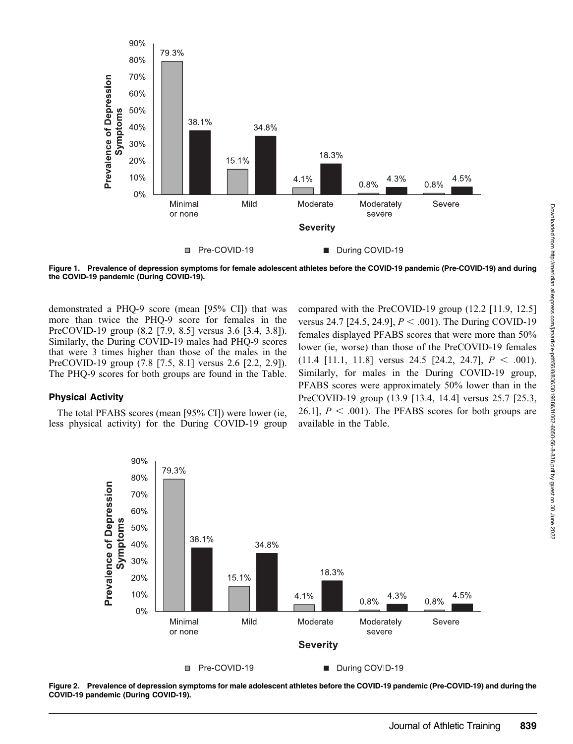

Figure 1. Prevalence of depression symptoms for female adolescent athletes before the COVID-19 pandemic (Pre-COVID-19) and during the COVID-19 pandemic (During COVID-19).

demonstrated a PHQ-9 score (mean [95% CI]) that was more than twice the PHQ-9 score for females in the PreCOVID-19 group (8.2 [7.9, 8.5] versus 3.6 [3.4, 3.8]). Similarly, the During COVID-19 males had PHQ-9 scores that were 3 times higher than those of the males in the PreCOVID-19 group (7.8 [7.5, 8.1] versus 2.6 [2.2, 2.9]). The PHQ-9 scores for both groups are found in the Table.

#### Physical Activity

The total PFABS scores (mean [95% CI]) were lower (ie, less physical activity) for the During COVID-19 group compared with the PreCOVID-19 group (12.2 [11.9, 12.5] versus 24.7 [24.5, 24.9],  $P < .001$ ). The During COVID-19 females displayed PFABS scores that were more than 50% lower (ie, worse) than those of the PreCOVID-19 females  $(11.4 \t[11.1, 11.8]$  versus 24.5  $[24.2, 24.7], P < .001$ ). Similarly, for males in the During COVID-19 group, PFABS scores were approximately 50% lower than in the PreCOVID-19 group (13.9 [13.4, 14.4] versus 25.7 [25.3, 26.1],  $P < .001$ . The PFABS scores for both groups are available in the Table.



Figure 2. Prevalence of depression symptoms for male adolescent athletes before the COVID-19 pandemic (Pre-COVID-19) and during the COVID-19 pandemic (During COVID-19).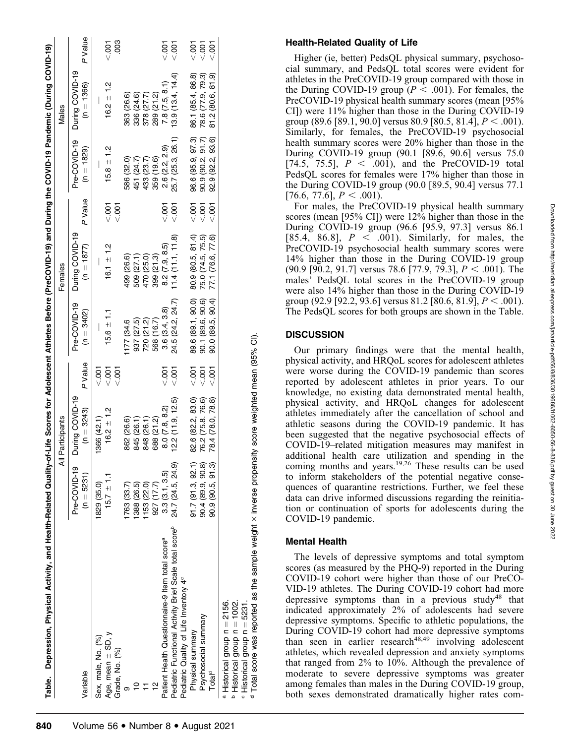| Table. Depression, Physical Activity, and Health-Related Quality-of-Life Scores for Adolescent Athletes Before (PreCOVID-19) and During the COVID-19 Pandemic (During COVID-19) |                              |                                 |           |                              |                                 |               |                              |                                 |                |
|---------------------------------------------------------------------------------------------------------------------------------------------------------------------------------|------------------------------|---------------------------------|-----------|------------------------------|---------------------------------|---------------|------------------------------|---------------------------------|----------------|
|                                                                                                                                                                                 | ₹                            | Participants                    |           |                              | Females                         |               |                              | Males                           |                |
| Variable                                                                                                                                                                        | Pre-COVID-19<br>$(n = 5231)$ | During COVID-19<br>$(n = 3243)$ | P Value   | Pre-COVID-19<br>$(n = 3402)$ | During COVID-19<br>$(n = 1877)$ | P Value       | Pre-COVID-19<br>$(n = 1829)$ | During COVID-19<br>$(n = 1366)$ | P Value        |
| Sex, male, No. (%)                                                                                                                                                              | 1829 (35.0)                  | 1366 (42.1)                     | < 001     |                              |                                 |               |                              |                                 |                |
|                                                                                                                                                                                 |                              |                                 |           |                              |                                 |               |                              |                                 |                |
| Age, mean $\pm$ SD, y                                                                                                                                                           | $15.7 \pm 1.1$               | $16.2 \pm 1.2$                  | < 001     | $15.6 \pm 1.1$               | $16.1 \pm 1.2$                  | < 001         | $15.8 \pm 1.2$               | $16.2 + 1.2$                    | $\frac{5}{2}$  |
| Grade, No. (%)                                                                                                                                                                  |                              |                                 | $500 - 7$ |                              |                                 | $c$ .001      |                              |                                 | $\frac{80}{3}$ |
|                                                                                                                                                                                 | 763 (33.7)                   | 862 (26.6)                      |           | 177 (34.6                    | 499 (26.6)                      |               | 586 (32.0)                   | 363 (26.6)                      |                |
|                                                                                                                                                                                 | 1388 (26.5)                  | 845 (26.1)                      |           | 937 (27.5)                   | 509 (27.1)                      |               | 451 (24.7)                   | 336 (24.6)                      |                |
|                                                                                                                                                                                 | 1153 (22.0)                  | 848 (26.1)                      |           | 720 (21.2)                   | 470 (25.0)                      |               | 433 (23.7)                   | 378 (27.7)                      |                |
| 으                                                                                                                                                                               | 927 (17.7)                   | 688 (21.2)                      |           | 568 (16.7)                   | 399 (21.3)                      |               | 359 (19.6)                   | 289 (21.2)                      |                |
| Patient Health Questionnaire-9 Item total score <sup>a</sup>                                                                                                                    | 3.3(3.1, 3.5)                | 8.0 (7.8, 8.2)                  | 5<br> 20  | 3.6(3.4, 3.8)                | 8.2(7.9, 8.5)                   | $007$         | 2.6 (2.2, 2.9)               | 7.8(7.5, 8.1)                   | $rac{5}{2}$    |
| Pediatric Functional Activity Brief Scale total score <sup>p</sup>                                                                                                              | 24.7 (24.5, 24.9)            | (2.2 (11.9, 12.5))              | $500 - 7$ | 24.5 (24.2, 24.7)            | 11.4(11.1, 11.8)                | < 001         | 25.7 (25.3, 26.1)            | 13.9(13.4, 14.4)                | $\frac{5}{2}$  |
| Pediatric Quality of Life Inventory 4 <sup>c</sup>                                                                                                                              |                              |                                 |           |                              |                                 |               |                              |                                 |                |
| Physical summary                                                                                                                                                                | 91.7(91.3, 92.1)             | 82.6 (82.2, 83.0)               | $-001$    | 89.6 (89.1, 90.0)            | 80.9 (80.5, 81.4)               | $\frac{5}{2}$ | 96.6 (95.9, 97.3)            | 86.1 (85.4, 86.8)               | $rac{1}{2}$    |
| Psychosocial summary                                                                                                                                                            | 90.4 (89.9, 90.8)            | 76.2 (75.8. 76.6)               | 5007      | 90.1 (89.6, 90.6)            | 75.0 (74.5, 75.5)               | < 007         | 90.9(90.2, 91.7)             | 78.6 (77.9, 79.3)               | $-001$         |
| Total <sup>d</sup>                                                                                                                                                              | 90.9 (90.5, 91.3)            | 78.4 (78.0, 78.8)               | $500 -$   | 90.0 (89.5, 90.4)            | 77.1 (76.6, 77.6)               | $500 -$       | 92.9 (92.2, 93.6)            | 81.2 (80.6, 81.9)               | $\frac{5}{2}$  |
| a Historical group n = 2156.                                                                                                                                                    |                              |                                 |           |                              |                                 |               |                              |                                 |                |
| $P$ Historical group $n = 1002$ .                                                                                                                                               |                              |                                 |           |                              |                                 |               |                              |                                 |                |
| $\degree$ Historical group $n = 5231$ .                                                                                                                                         |                              |                                 |           |                              |                                 |               |                              |                                 |                |

 Historical group n Total score was reported as the sample weight Total score was reported as the sample weight x inverse propensity score weighted mean (95% CI)  $\times$  inverse propensity score weighted mean (95% CI).

ರ

#### Health-Related Quality of Life

Higher (ie, better) PedsQL physical summary, psychosocial summary, and PedsQL total scores were evident for athletes in the PreCOVID-19 group compared with those in the During COVID-19 group ( $P < .001$ ). For females, the PreCOVID-19 physical health summary scores (mean [95% CI]) were 11% higher than those in the During COVID-19 group (89.6 [89.1, 90.0] versus 80.9 [80.5, 81.4],  $P < .001$ ). Similarly, for females, the PreCOVID-19 psychosocial health summary scores were 20% higher than those in the During COVID-19 group (90.1 [89.6, 90.6] versus 75.0 [74.5, 75.5],  $P < .001$ ], and the PreCOVID-19 total PedsQL scores for females were 17% higher than those in the During COVID-19 group (90.0 [89.5, 90.4] versus 77.1  $[76.6, 77.6], P < .001$ ).

For males, the PreCOVID-19 physical health summary scores (mean [95% CI]) were 12% higher than those in the During COVID-19 group (96.6 [95.9, 97.3] versus 86.1 [85.4, 86.8],  $P < .001$ ). Similarly, for males, the PreCOVID-19 psychosocial health summary scores were 14% higher than those in the During COVID-19 group  $(90.9 \, [90.2, 91.7]$  versus 78.6 [77.9, 79.3],  $P < .001$ ). The males' PedsQL total scores in the PreCOVID-19 group were also 14% higher than those in the During COVID-19 group (92.9 [92.2, 93.6] versus 81.2 [80.6, 81.9],  $P < .001$ ). The PedsQL scores for both groups are shown in the Table.

#### **DISCUSSION**

Our primary findings were that the mental health, physical activity, and HRQoL scores for adolescent athletes were worse during the COVID-19 pandemic than scores reported by adolescent athletes in prior years. To our knowledge, no existing data demonstrated mental health, physical activity, and HRQoL changes for adolescent athletes immediately after the cancellation of school and athletic seasons during the COVID-19 pandemic. It has been suggested that the negative psychosocial effects of COVID-19–related mitigation measures may manifest in additional health care utilization and spending in the coming months and years.<sup>19,26</sup> These results can be used to inform stakeholders of the potential negative consequences of quarantine restrictions. Further, we feel these data can drive informed discussions regarding the reinitiation or continuation of sports for adolescents during the COVID-19 pandemic.

## Mental Health

The levels of depressive symptoms and total symptom scores (as measured by the PHQ-9) reported in the During COVID-19 cohort were higher than those of our PreCO-VID-19 athletes. The During COVID-19 cohort had more depressive symptoms than in a previous study<sup>48</sup> that indicated approximately 2% of adolescents had severe depressive symptoms. Specific to athletic populations, the During COVID-19 cohort had more depressive symptoms than seen in earlier research $48,49$  involving adolescent athletes, which revealed depression and anxiety symptoms that ranged from 2% to 10%. Although the prevalence of moderate to severe depressive symptoms was greater among females than males in the During COVID-19 group, both sexes demonstrated dramatically higher rates com-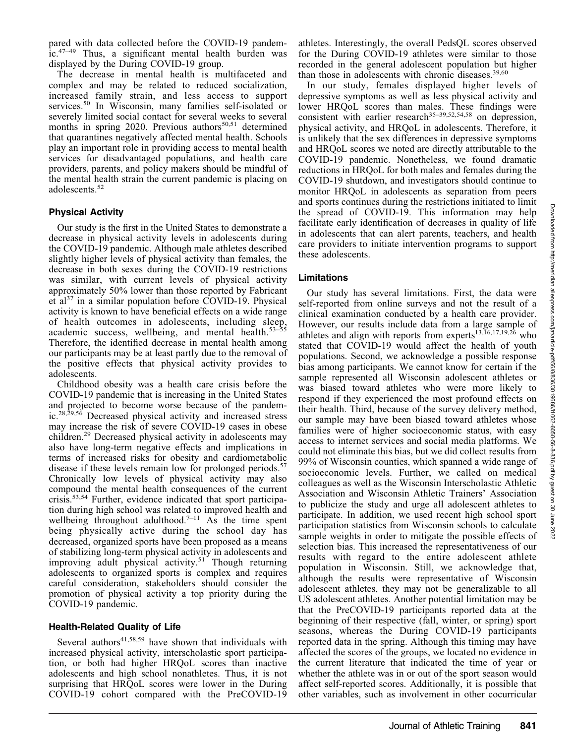pared with data collected before the COVID-19 pandem- $\int$ ic.<sup>47–49</sup> Thus, a significant mental health burden was displayed by the During COVID-19 group.

The decrease in mental health is multifaceted and complex and may be related to reduced socialization, increased family strain, and less access to support services.<sup>50</sup> In Wisconsin, many families self-isolated or severely limited social contact for several weeks to several months in spring 2020. Previous authors $50,51$  determined that quarantines negatively affected mental health. Schools play an important role in providing access to mental health services for disadvantaged populations, and health care providers, parents, and policy makers should be mindful of the mental health strain the current pandemic is placing on adolescents.<sup>52</sup>

## Physical Activity

Our study is the first in the United States to demonstrate a decrease in physical activity levels in adolescents during the COVID-19 pandemic. Although male athletes described slightly higher levels of physical activity than females, the decrease in both sexes during the COVID-19 restrictions was similar, with current levels of physical activity approximately 50% lower than those reported by Fabricant et al<sup>37</sup> in a similar population before COVID-19. Physical activity is known to have beneficial effects on a wide range of health outcomes in adolescents, including sleep, academic success, wellbeing, and mental health.<sup>53–55</sup> Therefore, the identified decrease in mental health among our participants may be at least partly due to the removal of the positive effects that physical activity provides to adolescents.

Childhood obesity was a health care crisis before the COVID-19 pandemic that is increasing in the United States and projected to become worse because of the pandemic.28,29,56 Decreased physical activity and increased stress may increase the risk of severe COVID-19 cases in obese children.29 Decreased physical activity in adolescents may also have long-term negative effects and implications in terms of increased risks for obesity and cardiometabolic disease if these levels remain low for prolonged periods.<sup>57</sup> Chronically low levels of physical activity may also compound the mental health consequences of the current crisis.53,54 Further, evidence indicated that sport participation during high school was related to improved health and wellbeing throughout adulthood.<sup>7–11</sup> As the time spent being physically active during the school day has decreased, organized sports have been proposed as a means of stabilizing long-term physical activity in adolescents and improving adult physical activity.<sup>51</sup> Though returning adolescents to organized sports is complex and requires careful consideration, stakeholders should consider the promotion of physical activity a top priority during the COVID-19 pandemic.

# Health-Related Quality of Life

Several authors $41,58,59$  have shown that individuals with increased physical activity, interscholastic sport participation, or both had higher HRQoL scores than inactive adolescents and high school nonathletes. Thus, it is not surprising that HRQoL scores were lower in the During COVID-19 cohort compared with the PreCOVID-19

athletes. Interestingly, the overall PedsQL scores observed for the During COVID-19 athletes were similar to those recorded in the general adolescent population but higher than those in adolescents with chronic diseases.<sup>39,60</sup>

In our study, females displayed higher levels of depressive symptoms as well as less physical activity and lower HRQoL scores than males. These findings were consistent with earlier research<sup>35–39,52,54,58</sup> on depression, physical activity, and HRQoL in adolescents. Therefore, it is unlikely that the sex differences in depressive symptoms and HRQoL scores we noted are directly attributable to the COVID-19 pandemic. Nonetheless, we found dramatic reductions in HRQoL for both males and females during the COVID-19 shutdown, and investigators should continue to monitor HRQoL in adolescents as separation from peers and sports continues during the restrictions initiated to limit the spread of COVID-19. This information may help facilitate early identification of decreases in quality of life in adolescents that can alert parents, teachers, and health care providers to initiate intervention programs to support these adolescents.

# Limitations

Our study has several limitations. First, the data were self-reported from online surveys and not the result of a clinical examination conducted by a health care provider. However, our results include data from a large sample of athletes and align with reports from experts<sup>13,16,17,19,26</sup> who stated that COVID-19 would affect the health of youth populations. Second, we acknowledge a possible response bias among participants. We cannot know for certain if the sample represented all Wisconsin adolescent athletes or was biased toward athletes who were more likely to respond if they experienced the most profound effects on their health. Third, because of the survey delivery method, our sample may have been biased toward athletes whose families were of higher socioeconomic status, with easy access to internet services and social media platforms. We could not eliminate this bias, but we did collect results from 99% of Wisconsin counties, which spanned a wide range of socioeconomic levels. Further, we called on medical colleagues as well as the Wisconsin Interscholastic Athletic Association and Wisconsin Athletic Trainers' Association to publicize the study and urge all adolescent athletes to participate. In addition, we used recent high school sport participation statistics from Wisconsin schools to calculate sample weights in order to mitigate the possible effects of selection bias. This increased the representativeness of our results with regard to the entire adolescent athlete population in Wisconsin. Still, we acknowledge that, although the results were representative of Wisconsin adolescent athletes, they may not be generalizable to all US adolescent athletes. Another potential limitation may be that the PreCOVID-19 participants reported data at the beginning of their respective (fall, winter, or spring) sport seasons, whereas the During COVID-19 participants reported data in the spring. Although this timing may have affected the scores of the groups, we located no evidence in the current literature that indicated the time of year or whether the athlete was in or out of the sport season would affect self-reported scores. Additionally, it is possible that other variables, such as involvement in other cocurricular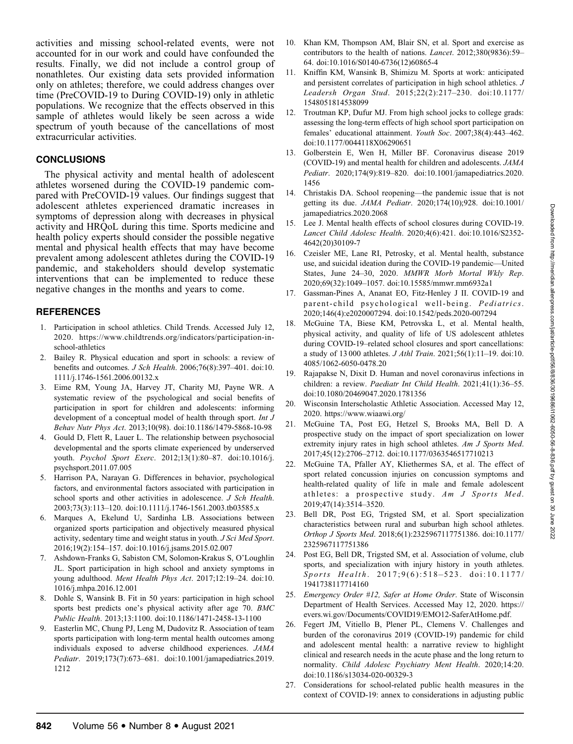activities and missing school-related events, were not accounted for in our work and could have confounded the results. Finally, we did not include a control group of nonathletes. Our existing data sets provided information only on athletes; therefore, we could address changes over time (PreCOVID-19 to During COVID-19) only in athletic populations. We recognize that the effects observed in this sample of athletes would likely be seen across a wide spectrum of youth because of the cancellations of most extracurricular activities.

## **CONCLUSIONS**

The physical activity and mental health of adolescent athletes worsened during the COVID-19 pandemic compared with PreCOVID-19 values. Our findings suggest that adolescent athletes experienced dramatic increases in symptoms of depression along with decreases in physical activity and HRQoL during this time. Sports medicine and health policy experts should consider the possible negative mental and physical health effects that may have become prevalent among adolescent athletes during the COVID-19 pandemic, and stakeholders should develop systematic interventions that can be implemented to reduce these negative changes in the months and years to come.

## **REFERENCES**

- 1. Participation in school athletics. Child Trends. Accessed July 12, 2020. https://www.childtrends.org/indicators/participation-inschool-athletics
- 2. Bailey R. Physical education and sport in schools: a review of benefits and outcomes. J Sch Health. 2006;76(8):397–401. doi:10. 1111/j.1746-1561.2006.00132.x
- 3. Eime RM, Young JA, Harvey JT, Charity MJ, Payne WR. A systematic review of the psychological and social benefits of participation in sport for children and adolescents: informing development of a conceptual model of health through sport. Int J Behav Nutr Phys Act. 2013;10(98). doi:10.1186/1479-5868-10-98
- 4. Gould D, Flett R, Lauer L. The relationship between psychosocial developmental and the sports climate experienced by underserved youth. Psychol Sport Exerc. 2012;13(1):80–87. doi:10.1016/j. psychsport.2011.07.005
- 5. Harrison PA, Narayan G. Differences in behavior, psychological factors, and environmental factors associated with participation in school sports and other activities in adolescence. J Sch Health. 2003;73(3):113–120. doi:10.1111/j.1746-1561.2003.tb03585.x
- 6. Marques A, Ekelund U, Sardinha LB. Associations between organized sports participation and objectively measured physical activity, sedentary time and weight status in youth. J Sci Med Sport. 2016;19(2):154–157. doi:10.1016/j.jsams.2015.02.007
- 7. Ashdown-Franks G, Sabiston CM, Solomon-Krakus S, O'Loughlin JL. Sport participation in high school and anxiety symptoms in young adulthood. Ment Health Phys Act. 2017;12:19–24. doi:10. 1016/j.mhpa.2016.12.001
- 8. Dohle S, Wansink B. Fit in 50 years: participation in high school sports best predicts one's physical activity after age 70. BMC Public Health. 2013;13:1100. doi:10.1186/1471-2458-13-1100
- 9. Easterlin MC, Chung PJ, Leng M, Dudovitz R. Association of team sports participation with long-term mental health outcomes among individuals exposed to adverse childhood experiences. JAMA Pediatr. 2019;173(7):673–681. doi:10.1001/jamapediatrics.2019. 1212
- 10. Khan KM, Thompson AM, Blair SN, et al. Sport and exercise as contributors to the health of nations. Lancet. 2012;380(9836):59– 64. doi:10.1016/S0140-6736(12)60865-4
- 11. Kniffin KM, Wansink B, Shimizu M. Sports at work: anticipated and persistent correlates of participation in high school athletics. J Leadersh Organ Stud. 2015;22(2):217–230. doi:10.1177/ 1548051814538099
- 12. Troutman KP, Dufur MJ. From high school jocks to college grads: assessing the long-term effects of high school sport participation on females' educational attainment. Youth Soc. 2007;38(4):443–462. doi:10.1177/0044118X06290651
- 13. Golberstein E, Wen H, Miller BF. Coronavirus disease 2019 (COVID-19) and mental health for children and adolescents. JAMA Pediatr. 2020;174(9):819–820. doi:10.1001/jamapediatrics.2020. 1456
- 14. Christakis DA. School reopening—the pandemic issue that is not getting its due. JAMA Pediatr. 2020;174(10);928. doi:10.1001/ jamapediatrics.2020.2068
- 15. Lee J. Mental health effects of school closures during COVID-19. Lancet Child Adolesc Health. 2020;4(6):421. doi:10.1016/S2352- 4642(20)30109-7
- 16. Czeisler ME, Lane RI, Petrosky, et al. Mental health, substance use, and suicidal ideation during the COVID-19 pandemic—United States, June 24–30, 2020. MMWR Morb Mortal Wkly Rep. 2020;69(32):1049–1057. doi:10.15585/mmwr.mm6932a1
- 17. Gassman-Pines A, Ananat EO, Fitz-Henley J II. COVID-19 and parent-child psychological well-being. Pediatrics. 2020;146(4):e2020007294. doi:10.1542/peds.2020-007294
- 18. McGuine TA, Biese KM, Petrovska L, et al. Mental health, physical activity, and quality of life of US adolescent athletes during COVID-19–related school closures and sport cancellations: a study of 13 000 athletes. J Athl Train. 2021;56(1):11–19. doi:10. 4085/1062-6050-0478.20
- 19. Rajapakse N, Dixit D. Human and novel coronavirus infections in children: a review. Paediatr Int Child Health. 2021;41(1):36–55. doi:10.1080/20469047.2020.1781356
- 20. Wisconsin Interscholastic Athletic Association. Accessed May 12, 2020. https://www.wiaawi.org/
- 21. McGuine TA, Post EG, Hetzel S, Brooks MA, Bell D. A prospective study on the impact of sport specialization on lower extremity injury rates in high school athletes. Am J Sports Med. 2017;45(12):2706–2712. doi:10.1177/0363546517710213
- McGuine TA, Pfaller AY, Kliethermes SA, et al. The effect of sport related concussion injuries on concussion symptoms and health-related quality of life in male and female adolescent athletes: a prospective study. Am J Sports Med. 2019;47(14):3514–3520.
- 23. Bell DR, Post EG, Trigsted SM, et al. Sport specialization characteristics between rural and suburban high school athletes. Orthop J Sports Med. 2018;6(1):2325967117751386. doi:10.1177/ 2325967117751386
- 24. Post EG, Bell DR, Trigsted SM, et al. Association of volume, club sports, and specialization with injury history in youth athletes. Sports Health. 2017;9(6):518-523. doi:10.1177/ 1941738117714160
- 25. Emergency Order #12, Safer at Home Order. State of Wisconsin Department of Health Services. Accessed May 12, 2020. https:// evers.wi.gov/Documents/COVID19/EMO12-SaferAtHome.pdf.
- 26. Fegert JM, Vitiello B, Plener PL, Clemens V. Challenges and burden of the coronavirus 2019 (COVID-19) pandemic for child and adolescent mental health: a narrative review to highlight clinical and research needs in the acute phase and the long return to normality. Child Adolesc Psychiatry Ment Health. 2020;14:20. doi:10.1186/s13034-020-00329-3
- 27. Considerations for school-related public health measures in the context of COVID-19: annex to considerations in adjusting public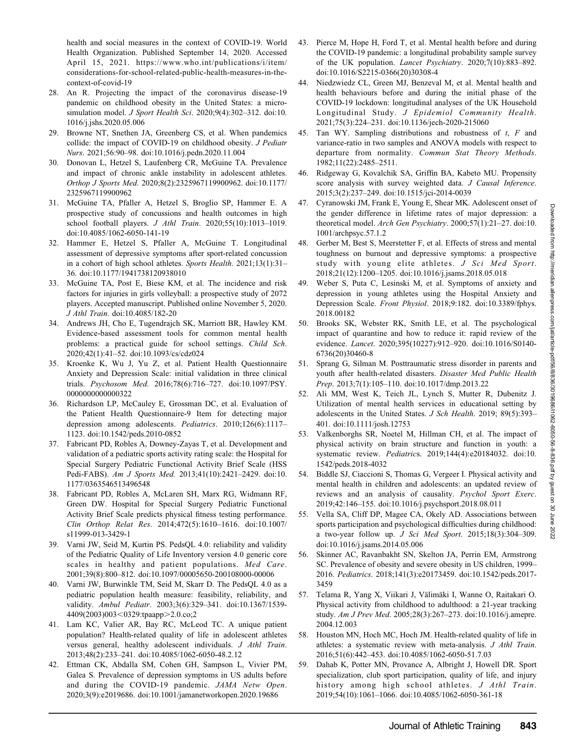health and social measures in the context of COVID-19. World Health Organization. Published September 14, 2020. Accessed April 15, 2021. https://www.who.int/publications/i/item/ considerations-for-school-related-public-health-measures-in-thecontext-of-covid-19

- 28. An R. Projecting the impact of the coronavirus disease-19 pandemic on childhood obesity in the United States: a microsimulation model. J Sport Health Sci. 2020;9(4):302–312. doi:10. 1016/j.jshs.2020.05.006
- 29. Browne NT, Snethen JA, Greenberg CS, et al. When pandemics collide: the impact of COVID-19 on childhood obesity. J Pediatr Nurs. 2021;56:90–98. doi:10.1016/j.pedn.2020.11.004
- 30. Donovan L, Hetzel S, Laufenberg CR, McGuine TA. Prevalence and impact of chronic ankle instability in adolescent athletes. Orthop J Sports Med. 2020;8(2):2325967119900962. doi:10.1177/ 2325967119900962
- 31. McGuine TA, Pfaller A, Hetzel S, Broglio SP, Hammer E. A prospective study of concussions and health outcomes in high school football players. J Athl Train. 2020;55(10):1013–1019. doi:10.4085/1062-6050-141-19
- 32. Hammer E, Hetzel S, Pfaller A, McGuine T. Longitudinal assessment of depressive symptoms after sport-related concussion in a cohort of high school athletes. Sports Health. 2021;13(1):31-36. doi:10.1177/1941738120938010
- 33. McGuine TA, Post E, Biese KM, et al. The incidence and risk factors for injuries in girls volleyball: a prospective study of 2072 players. Accepted manuscript. Published online November 5, 2020. J Athl Train. doi:10.4085/182-20
- 34. Andrews JH, Cho E, Tugendrajch SK, Marriott BR, Hawley KM. Evidence-based assessment tools for common mental health problems: a practical guide for school settings. Child Sch. 2020;42(1):41–52. doi:10.1093/cs/cdz024
- 35. Kroenke K, Wu J, Yu Z, et al. Patient Health Questionnaire Anxiety and Depression Scale: initial validation in three clinical trials. Psychosom Med. 2016;78(6):716–727. doi:10.1097/PSY. 0000000000000322
- 36. Richardson LP, McCauley E, Grossman DC, et al. Evaluation of the Patient Health Questionnaire-9 Item for detecting major depression among adolescents. Pediatrics. 2010;126(6):1117– 1123. doi:10.1542/peds.2010-0852
- 37. Fabricant PD, Robles A, Downey-Zayas T, et al. Development and validation of a pediatric sports activity rating scale: the Hospital for Special Surgery Pediatric Functional Activity Brief Scale (HSS Pedi-FABS). Am J Sports Med. 2013;41(10):2421–2429. doi:10. 1177/0363546513496548
- 38. Fabricant PD, Robles A, McLaren SH, Marx RG, Widmann RF, Green DW. Hospital for Special Surgery Pediatric Functional Activity Brief Scale predicts physical fitness testing performance. Clin Orthop Relat Res. 2014;472(5):1610–1616. doi:10.1007/ s11999-013-3429-1
- 39. Varni JW, Seid M, Kurtin PS. PedsQL 4.0: reliability and validity of the Pediatric Quality of Life Inventory version 4.0 generic core scales in healthy and patient populations. Med Care. 2001;39(8):800–812. doi:10.1097/00005650-200108000-00006
- 40. Varni JW, Burwinkle TM, Seid M, Skarr D. The PedsQL 4.0 as a pediatric population health measure: feasibility, reliability, and validity. Ambul Pediatr. 2003;3(6):329–341. doi:10.1367/1539- 4409(2003)003<0329:tpaapp>2.0.co;2
- 41. Lam KC, Valier AR, Bay RC, McLeod TC. A unique patient population? Health-related quality of life in adolescent athletes versus general, healthy adolescent individuals. J Athl Train. 2013;48(2):233–241. doi:10.4085/1062-6050-48.2.12
- 42. Ettman CK, Abdalla SM, Cohen GH, Sampson L, Vivier PM, Galea S. Prevalence of depression symptoms in US adults before and during the COVID-19 pandemic. JAMA Netw Open. 2020;3(9):e2019686. doi:10.1001/jamanetworkopen.2020.19686
- 43. Pierce M, Hope H, Ford T, et al. Mental health before and during the COVID-19 pandemic: a longitudinal probability sample survey of the UK population. Lancet Psychiatry. 2020;7(10):883–892. doi:10.1016/S2215-0366(20)30308-4
- 44. Niedzwiedz CL, Green MJ, Benzeval M, et al. Mental health and health behaviours before and during the initial phase of the COVID-19 lockdown: longitudinal analyses of the UK Household Longitudinal Study. J Epidemiol Community Health. 2021;75(3):224–231. doi:10.1136/jech-2020-215060
- 45. Tan WY. Sampling distributions and robustness of  $t$ ,  $F$  and variance-ratio in two samples and ANOVA models with respect to departure from normality. Commun Stat Theory Methods. 1982;11(22):2485–2511.
- 46. Ridgeway G, Kovalchik SA, Griffin BA, Kabeto MU. Propensity score analysis with survey weighted data. J Causal Inference. 2015;3(2):237–249. doi:10.1515/jci-2014-0039
- 47. Cyranowski JM, Frank E, Young E, Shear MK. Adolescent onset of the gender difference in lifetime rates of major depression: a theoretical model. Arch Gen Psychiatry. 2000;57(1):21-27. doi:10. 1001/archpsyc.57.1.2
- 48. Gerber M, Best S, Meerstetter F, et al. Effects of stress and mental toughness on burnout and depressive symptoms: a prospective study with young elite athletes. J Sci Med Sport. 2018;21(12):1200–1205. doi:10.1016/j.jsams.2018.05.018
- 49. Weber S, Puta C, Lesinski M, et al. Symptoms of anxiety and depression in young athletes using the Hospital Anxiety and Depression Scale. Front Physiol. 2018;9:182. doi:10.3389/fphys. 2018.00182
- 50. Brooks SK, Webster RK, Smith LE, et al. The psychological impact of quarantine and how to reduce it: rapid review of the evidence. Lancet. 2020;395(10227):912–920. doi:10.1016/S0140- 6736(20)30460-8
- 51. Sprang G, Silman M. Posttraumatic stress disorder in parents and youth after health-related disasters. Disaster Med Public Health Prep. 2013;7(1):105–110. doi:10.1017/dmp.2013.22
- 52. Ali MM, West K, Teich JL, Lynch S, Mutter R, Dubenitz J. Utilization of mental health services in educational setting by adolescents in the United States. J Sch Health. 2019; 89(5):393– 401. doi:10.1111/josh.12753
- 53. Valkenborghs SR, Noetel M, Hillman CH, et al. The impact of physical activity on brain structure and function in youth: a systematic review. Pediatrics. 2019;144(4):e20184032. doi:10. 1542/peds.2018-4032
- 54. Biddle SJ, Ciaccioni S, Thomas G, Vergeer I. Physical activity and mental health in children and adolescents: an updated review of reviews and an analysis of causality. Psychol Sport Exerc. 2019;42:146–155. doi:10.1016/j.psychsport.2018.08.011
- 55. Vella SA, Cliff DP, Magee CA, Okely AD. Associations between sports participation and psychological difficulties during childhood: a two-year follow up. J Sci Med Sport. 2015;18(3):304–309. doi:10.1016/j.jsams.2014.05.006
- 56. Skinner AC, Ravanbakht SN, Skelton JA, Perrin EM, Armstrong SC. Prevalence of obesity and severe obesity in US children, 1999– 2016. Pediatrics. 2018;141(3):e20173459. doi:10.1542/peds.2017- 3459
- 57. Telama R, Yang X, Viikari J, Välimäki I, Wanne O, Raitakari O. Physical activity from childhood to adulthood: a 21-year tracking study. Am J Prev Med. 2005;28(3):267-273. doi:10.1016/j.amepre. 2004.12.003
- 58. Houston MN, Hoch MC, Hoch JM. Health-related quality of life in athletes: a systematic review with meta-analysis. J Athl Train. 2016;51(6):442–453. doi:10.4085/1062-6050-51.7.03
- 59. Dahab K, Potter MN, Provance A, Albright J, Howell DR. Sport specialization, club sport participation, quality of life, and injury history among high school athletes. J Athl Train. 2019;54(10):1061–1066. doi:10.4085/1062-6050-361-18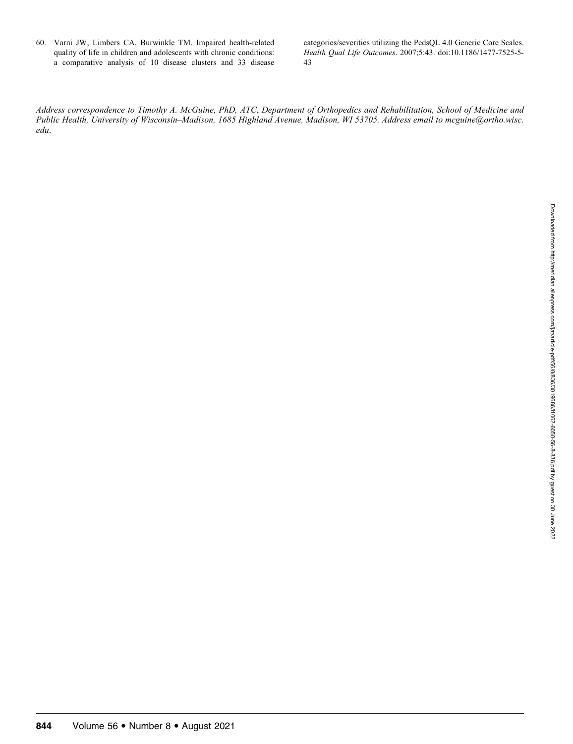60. Varni JW, Limbers CA, Burwinkle TM. Impaired health-related quality of life in children and adolescents with chronic conditions: a comparative analysis of 10 disease clusters and 33 disease categories/severities utilizing the PedsQL 4.0 Generic Core Scales. Health Qual Life Outcomes. 2007;5:43. doi:10.1186/1477-7525-5- 43

Address correspondence to Timothy A. McGuine, PhD, ATC, Department of Orthopedics and Rehabilitation, School of Medicine and Public Health, University of Wisconsin–Madison, 1685 Highland Avenue, Madison, WI 53705. Address email to mcguine@ortho.wisc. edu.